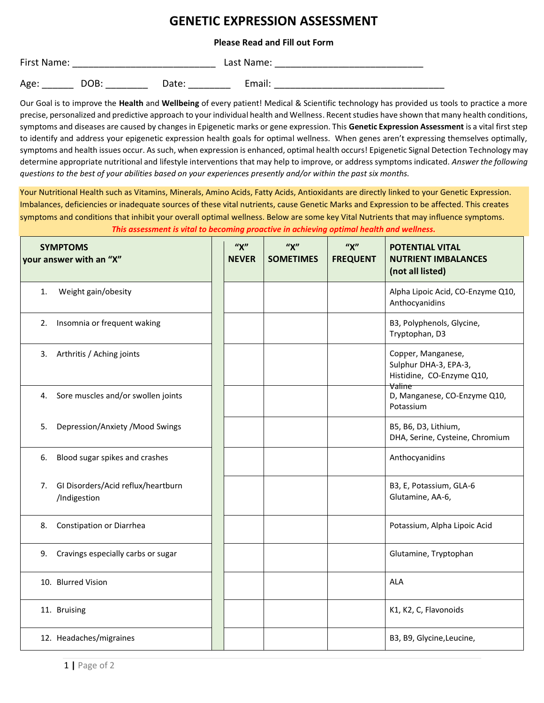## **GENETIC EXPRESSION ASSESSMENT**

## **Please Read and Fill out Form**

| First Name: |      |       | Last Name: |  |
|-------------|------|-------|------------|--|
| Age:        | DOB: | Date: | Email:     |  |

Our Goal is to improve the **Health** and **Wellbeing** of every patient! Medical & Scientific technology has provided us tools to practice a more precise, personalized and predictive approach to your individual health and Wellness. Recent studies have shown that many health conditions, symptoms and diseases are caused by changes in Epigenetic marks or gene expression. This **Genetic Expression Assessment** is a vital first step to identify and address your epigenetic expression health goals for optimal wellness. When genes aren't expressing themselves optimally, symptoms and health issues occur. As such, when expression is enhanced, optimal health occurs! Epigenetic Signal Detection Technology may determine appropriate nutritional and lifestyle interventions that may help to improve, or address symptoms indicated. *Answer the following questions to the best of your abilities based on your experiences presently and/or within the past six months.*

Your Nutritional Health such as Vitamins, Minerals, Amino Acids, Fatty Acids, Antioxidants are directly linked to your Genetic Expression. Imbalances, deficiencies or inadequate sources of these vital nutrients, cause Genetic Marks and Expression to be affected. This creates symptoms and conditions that inhibit your overall optimal wellness. Below are some key Vital Nutrients that may influence symptoms. *This assessment is vital to becoming proactive in achieving optimal health and wellness.*

| <b>SYMPTOMS</b><br>your answer with an "X"               | ''X''<br><b>NEVER</b> | ''X''<br><b>SOMETIMES</b> | ''X''<br><b>FREQUENT</b> | <b>POTENTIAL VITAL</b><br><b>NUTRIENT IMBALANCES</b><br>(not all listed) |
|----------------------------------------------------------|-----------------------|---------------------------|--------------------------|--------------------------------------------------------------------------|
| Weight gain/obesity<br>1.                                |                       |                           |                          | Alpha Lipoic Acid, CO-Enzyme Q10,<br>Anthocyanidins                      |
| Insomnia or frequent waking<br>2.                        |                       |                           |                          | B3, Polyphenols, Glycine,<br>Tryptophan, D3                              |
| 3. Arthritis / Aching joints                             |                       |                           |                          | Copper, Manganese,<br>Sulphur DHA-3, EPA-3,<br>Histidine, CO-Enzyme Q10, |
| 4. Sore muscles and/or swollen joints                    |                       |                           |                          | Valine<br>D, Manganese, CO-Enzyme Q10,<br>Potassium                      |
| Depression/Anxiety /Mood Swings<br>5.                    |                       |                           |                          | B5, B6, D3, Lithium,<br>DHA, Serine, Cysteine, Chromium                  |
| Blood sugar spikes and crashes<br>6.                     |                       |                           |                          | Anthocyanidins                                                           |
| GI Disorders/Acid reflux/heartburn<br>7.<br>/Indigestion |                       |                           |                          | B3, E, Potassium, GLA-6<br>Glutamine, AA-6,                              |
| Constipation or Diarrhea<br>8.                           |                       |                           |                          | Potassium, Alpha Lipoic Acid                                             |
| Cravings especially carbs or sugar<br>9.                 |                       |                           |                          | Glutamine, Tryptophan                                                    |
| 10. Blurred Vision                                       |                       |                           |                          | ALA                                                                      |
| 11. Bruising                                             |                       |                           |                          | K1, K2, C, Flavonoids                                                    |
| 12. Headaches/migraines                                  |                       |                           |                          | B3, B9, Glycine, Leucine,                                                |